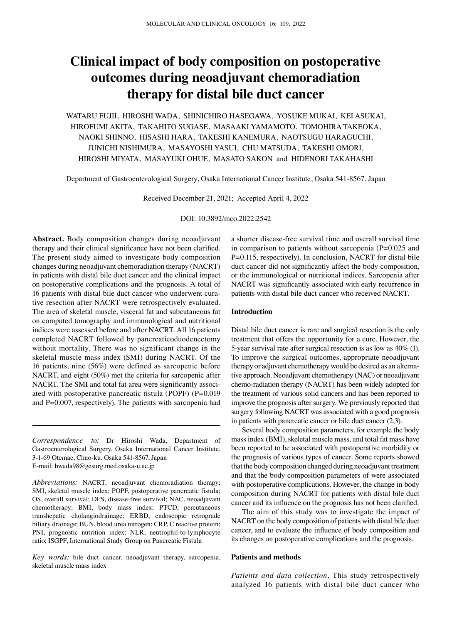# **Clinical impact of body composition on postoperative outcomes during neoadjuvant chemoradiation therapy for distal bile duct cancer**

WATARU FUJII, HIROSHI WADA, SHINICHIRO HASEGAWA, YOSUKE MUKAI, KEI ASUKAI, HIROFUMI AKITA, TAKAHITO SUGASE, MASAAKI YAMAMOTO, TOMOHIRA TAKEOKA, NAOKI SHINNO, HISASHI HARA, TAKESHI KANEMURA, NAOTSUGU HARAGUCHI, JUNICHI NISHIMURA, MASAYOSHI YASUI, CHU MATSUDA, TAKESHI OMORI, HIROSHI MIYATA, MASAYUKI OHUE, MASATO SAKON and HIDENORI TAKAHASHI

Department of Gastroenterological Surgery, Osaka International Cancer Institute, Osaka 541‑8567, Japan

Received December 21, 2021; Accepted April 4, 2022

DOI: 10.3892/mco.2022.2542

**Abstract.** Body composition changes during neoadjuvant therapy and their clinical significance have not been clarified. The present study aimed to investigate body composition changes during neoadjuvant chemoradiation therapy (NACRT) in patients with distal bile duct cancer and the clinical impact on postoperative complications and the prognosis. A total of 16 patients with distal bile duct cancer who underwent curative resection after NACRT were retrospectively evaluated. The area of skeletal muscle, visceral fat and subcutaneous fat on computed tomography and immunological and nutritional indices were assessed before and after NACRT. All 16 patients completed NACRT followed by pancreaticoduodenectomy without mortality. There was no significant change in the skeletal muscle mass index (SMI) during NACRT. Of the 16 patients, nine (56%) were defined as sarcopenic before NACRT, and eight (50%) met the criteria for sarcopenic after NACRT. The SMI and total fat area were significantly associated with postoperative pancreatic fistula (POPF) (P=0.019 and P=0.007, respectively). The patients with sarcopenia had

*Correspondence to:* Dr Hiroshi Wada, Department of Gastroenterological Surgery, Osaka International Cancer Institute, 3‑1‑69 Otemae, Chuo‑ku, Osaka 541‑8567, Japan E‑mail: hwada98@gesurg.med.osaka‑u.ac.jp

*Abbreviations:* NACRT, neoadjuvant chemoradiation therapy; SMI, skeletal muscle index; POPF, postoperative pancreatic fistula; OS, overall survival; DFS, disease‑free survival; NAC, neoadjuvant chemotherapy; BMI, body mass index; PTCD, percutaneous transhepatic cholangiodrainage; ERBD, endoscopic retrograde biliary drainage; BUN, blood urea nitrogen; CRP, C reactive protein; PNI, prognostic nutrition index; NLR, neutrophil-to-lymphocyte ratio; ISGPF, International Study Group on Pancreatic Fistula

*Key words:* bile duct cancer, neoadjuvant therapy, sarcopenia, skeletal muscle mass index

a shorter disease‑free survival time and overall survival time in comparison to patients without sarcopenia  $(P=0.025$  and P=0.115, respectively). In conclusion, NACRT for distal bile duct cancer did not significantly affect the body composition, or the immunological or nutritional indices. Sarcopenia after NACRT was significantly associated with early recurrence in patients with distal bile duct cancer who received NACRT.

## **Introduction**

Distal bile duct cancer is rare and surgical resection is the only treatment that offers the opportunity for a cure. However, the 5‑year survival rate after surgical resection is as low as 40% (1). To improve the surgical outcomes, appropriate neoadjuvant therapy or adjuvant chemotherapy would be desired as an alternative approach. Neoadjuvant chemotherapy (NAC) or neoadjuvant chemo‑radiation therapy (NACRT) has been widely adopted for the treatment of various solid cancers and has been reported to improve the prognosis after surgery. We previously reported that surgery following NACRT was associated with a good prognosis in patients with pancreatic cancer or bile duct cancer (2,3).

Several body composition parameters, for example the body mass index (BMI), skeletal muscle mass, and total fat mass have been reported to be associated with postoperative morbidity or the prognosis of various types of cancer. Some reports showed that the body composition changed during neoadjuvant treatment and that the body composition parameters of were associated with postoperative complications. However, the change in body composition during NACRT for patients with distal bile duct cancer and its influence on the prognosis has not been clarified.

The aim of this study was to investigate the impact of NACRT on the body composition of patients with distal bile duct cancer, and to evaluate the influence of body composition and its changes on postoperative complications and the prognosis.

#### **Patients and methods**

*Patients and data collection.* This study retrospectively analyzed 16 patients with distal bile duct cancer who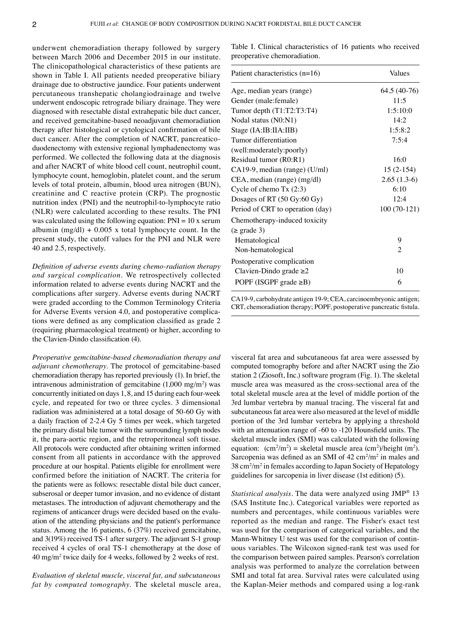underwent chemoradiation therapy followed by surgery between March 2006 and December 2015 in our institute. The clinicopathological characteristics of these patients are shown in Table I. All patients needed preoperative biliary drainage due to obstructive jaundice. Four patients underwent percutaneous transhepatic cholangiodrainage and twelve underwent endoscopic retrograde biliary drainage. They were diagnosed with resectable distal extrahepatic bile duct cancer, and received gemcitabine‑based neoadjuvant chemoradiation therapy after histological or cytological confirmation of bile duct cancer. After the completion of NACRT, pancreaticoduodenectomy with extensive regional lymphadenectomy was performed. We collected the following data at the diagnosis and after NACRT of white blood cell count, neutrophil count, lymphocyte count, hemoglobin, platelet count, and the serum levels of total protein, albumin, blood urea nitrogen (BUN), creatinine and C reactive protein (CRP). The prognostic nutrition index (PNI) and the neutrophil-to-lymphocyte ratio (NLR) were calculated according to these results. The PNI was calculated using the following equation:  $PNI = 10x$  serum albumin (mg/dl) + 0.005 x total lymphocyte count. In the present study, the cutoff values for the PNI and NLR were 40 and 2.5, respectively.

*Definition of adverse events during chemo‑radiation therapy and surgical complication.* We retrospectively collected information related to adverse events during NACRT and the complications after surgery. Adverse events during NACRT were graded according to the Common Terminology Criteria for Adverse Events version 4.0, and postoperative complications were defined as any complication classified as grade 2 (requiring pharmacological treatment) or higher, according to the Clavien‑Dindo classification (4).

*Preoperative gemcitabine‑based chemoradiation therapy and adjuvant chemotherapy*. The protocol of gemcitabine-based chemoradiation therapy has reported previously (1). In brief, the intravenous administration of gemcitabine  $(1,000 \text{ mg/m}^2)$  was concurrently initiated on days 1, 8, and 15 during each four-week cycle, and repeated for two or three cycles. 3 dimensional radiation was administered at a total dosage of 50‑60 Gy with a daily fraction of 2‑2.4 Gy 5 times per week, which targeted the primary distal bile tumor with the surrounding lymph nodes it, the para‑aortic region, and the retroperitoneal soft tissue. All protocols were conducted after obtaining written informed consent from all patients in accordance with the approved procedure at our hospital. Patients eligible for enrollment were confirmed before the initiation of NACRT. The criteria for the patients were as follows: resectable distal bile duct cancer, subserosal or deeper tumor invasion, and no evidence of distant metastases. The introduction of adjuvant chemotherapy and the regimens of anticancer drugs were decided based on the evaluation of the attending physicians and the patient's performance status. Among the 16 patients, 6 (37%) received gemcitabine, and 3(19%) received TS-1 after surgery. The adjuvant S-1 group received 4 cycles of oral TS‑1 chemotherapy at the dose of 40 mg/m<sup>2</sup> twice daily for 4 weeks, followed by 2 weeks of rest.

*Evaluation of skeletal muscle, visceral fat, and subcutaneous fat by computed tomography.* The skeletal muscle area, Table I. Clinical characteristics of 16 patients who received preoperative chemoradiation.

| Patient characteristics $(n=16)$ | Values        |
|----------------------------------|---------------|
| Age, median years (range)        | 64.5 (40-76)  |
| Gender (male:female)             | 11:5          |
| Tumor depth $(T1:T2:T3:T4)$      | 1:5:10:0      |
| Nodal status (N0:N1)             | 14:2          |
| Stage (IA:IB:IIA:IIB)            | 1:5:8:2       |
| Tumor differentiation            | 7:5:4         |
| (well:moderately:poorly)         |               |
| Residual tumor (R0:R1)           | 16:0          |
| CA19-9, median (range) (U/ml)    | $15(2-154)$   |
| CEA, median (range) (mg/dl)      | $2.65(1.3-6)$ |
| Cycle of chemo $Tx(2:3)$         | 6:10          |
| Dosages of RT (50 Gy:60 Gy)      | 12:4          |
| Period of CRT to operation (day) | $100(70-121)$ |
| Chemotherapy-induced toxicity    |               |
| $(\geq \text{grade } 3)$         |               |
| Hematological                    | 9             |
| Non-hematological                | 2             |
| Postoperative complication       |               |
| Clavien-Dindo grade $\geq 2$     | 10            |
| POPF (ISGPF grade $\geq$ B)      | 6             |

CA19‑9, carbohydrate antigen 19‑9; CEA, carcinoembryonic antigen; CRT, chemoradiation therapy; POPF, postoperative pancreatic fistula.

visceral fat area and subcutaneous fat area were assessed by computed tomography before and after NACRT using the Zio station 2 (Ziosoft, Inc.) software program (Fig. 1). The skeletal muscle area was measured as the cross‑sectional area of the total skeletal muscle area at the level of middle portion of the 3rd lumbar vertebra by manual tracing. The visceral fat and subcutaneous fat area were also measured at the level of middle portion of the 3rd lumbar vertebra by applying a threshold with an attenuation range of -60 to -120 Hounsfield units. The skeletal muscle index (SMI) was calculated with the following equation:  $\text{(cm}^2/\text{m}^2) = \text{skeltal muscle area (cm}^2/\text{height (m}^2).$ Sarcopenia was defined as an SMI of  $42 \text{ cm}^2/\text{m}^2$  in males and 38 cm<sup>2</sup> /m<sup>2</sup> in females according to Japan Society of Hepatology guidelines for sarcopenia in liver disease (1st edition) (5).

*Statistical analysis.* The data were analyzed using JMP® 13 (SAS Institute Inc.). Categorical variables were reported as numbers and percentages, while continuous variables were reported as the median and range. The Fisher's exact test was used for the comparison of categorical variables, and the Mann-Whitney U test was used for the comparison of continuous variables. The Wilcoxon signed‑rank test was used for the comparison between paired samples. Pearson's correlation analysis was performed to analyze the correlation between SMI and total fat area. Survival rates were calculated using the Kaplan-Meier methods and compared using a log-rank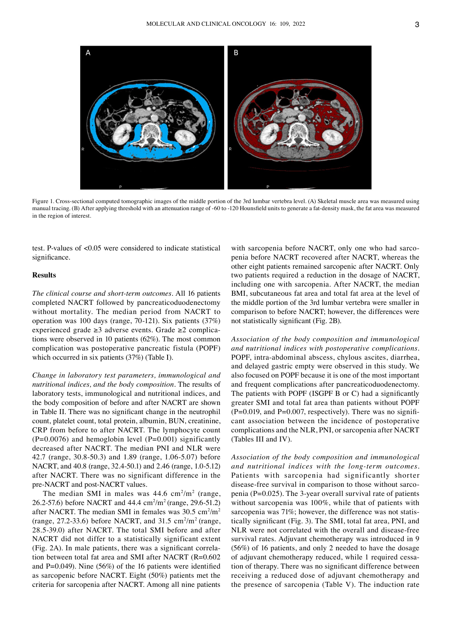

Figure 1. Cross‑sectional computed tomographic images of the middle portion of the 3rd lumbar vertebra level. (A) Skeletal muscle area was measured using manual tracing. (B) After applying threshold with an attenuation range of -60 to -120 Hounsfield units to generate a fat-density mask, the fat area was measured in the region of interest.

test. P-values of <0.05 were considered to indicate statistical significance.

# **Results**

*The clinical course and short‑term outcomes.* All 16 patients completed NACRT followed by pancreaticoduodenectomy without mortality. The median period from NACRT to operation was 100 days (range, 70‑121). Six patients (37%) experienced grade  $\geq 3$  adverse events. Grade  $\geq 2$  complications were observed in 10 patients (62%). The most common complication was postoperative pancreatic fistula (POPF) which occurred in six patients (37%) (Table I).

*Change in laboratory test parameters, immunological and nutritional indices, and the body composition.* The results of laboratory tests, immunological and nutritional indices, and the body composition of before and after NACRT are shown in Table II. There was no significant change in the neutrophil count, platelet count, total protein, albumin, BUN, creatinine, CRP from before to after NACRT. The lymphocyte count  $(P=0.0076)$  and hemoglobin level  $(P=0.001)$  significantly decreased after NACRT. The median PNI and NLR were 42.7 (range, 30.8‑50.3) and 1.89 (range, 1.06‑5.07) before NACRT, and 40.8 (range, 32.4‑50.1) and 2.46 (range, 1.0‑5.12) after NACRT. There was no significant difference in the pre‑NACRT and post‑NACRT values.

The median SMI in males was  $44.6 \text{ cm}^2/\text{m}^2$  (range, 26.2-57.6) before NACRT and  $44.4 \text{ cm}^2/\text{m}^2$  (range, 29.6-51.2) after NACRT. The median SMI in females was  $30.5 \text{ cm}^2/\text{m}^2$ (range, 27.2-33.6) before NACRT, and  $31.5 \text{ cm}^2/\text{m}^2$  (range, 28.5‑39.0) after NACRT. The total SMI before and after NACRT did not differ to a statistically significant extent (Fig. 2A). In male patients, there was a significant correla‑ tion between total fat area and SMI after NACRT (R=0.602 and P=0.049). Nine (56%) of the 16 patients were identified as sarcopenic before NACRT. Eight (50%) patients met the criteria for sarcopenia after NACRT. Among all nine patients

with sarcopenia before NACRT, only one who had sarcopenia before NACRT recovered after NACRT, whereas the other eight patients remained sarcopenic after NACRT. Only two patients required a reduction in the dosage of NACRT, including one with sarcopenia. After NACRT, the median BMI, subcutaneous fat area and total fat area at the level of the middle portion of the 3rd lumbar vertebra were smaller in comparison to before NACRT; however, the differences were not statistically significant (Fig. 2B).

*Association of the body composition and immunological and nutritional indices with postoperative complications.*  POPF, intra‑abdominal abscess, chylous ascites, diarrhea, and delayed gastric empty were observed in this study. We also focused on POPF because it is one of the most important and frequent complications after pancreaticoduodenectomy. The patients with POPF (ISGPF B or C) had a significantly greater SMI and total fat area than patients without POPF  $(P=0.019,$  and  $P=0.007$ , respectively). There was no significant association between the incidence of postoperative complications and the NLR, PNI, or sarcopenia after NACRT (Tables III and IV).

*Association of the body composition and immunological and nutritional indices with the long‑term outcomes.*  Patients with sarcopenia had significantly shorter disease-free survival in comparison to those without sarcopenia ( $P=0.025$ ). The 3-year overall survival rate of patients without sarcopenia was 100%, while that of patients with sarcopenia was 71%; however, the difference was not statistically significant (Fig. 3). The SMI, total fat area, PNI, and NLR were not correlated with the overall and disease-free survival rates. Adjuvant chemotherapy was introduced in 9 (56%) of 16 patients, and only 2 needed to have the dosage of adjuvant chemotherapy reduced, while 1 required cessation of therapy. There was no significant difference between receiving a reduced dose of adjuvant chemotherapy and the presence of sarcopenia (Table V). The induction rate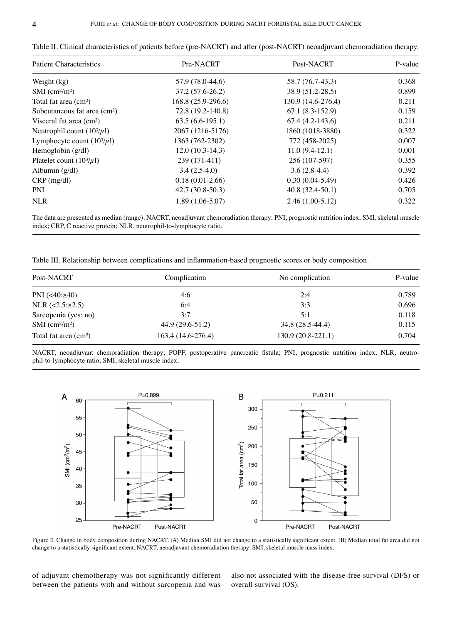| <b>Patient Characteristics</b>           | Pre-NACRT           | Post-NACRT         | P-value |  |
|------------------------------------------|---------------------|--------------------|---------|--|
| Weight (kg)                              | 57.9 (78.0-44.6)    | 58.7 (76.7-43.3)   | 0.368   |  |
| $SMI$ (cm <sup>2</sup> /m <sup>2</sup> ) | $37.2(57.6-26.2)$   | 38.9 (51.2-28.5)   | 0.899   |  |
| Total fat area (cm <sup>2</sup> )        | $168.8(25.9-296.6)$ | 130.9 (14.6-276.4) | 0.211   |  |
| Subcutaneous fat area (cm <sup>2</sup> ) | 72.8 (19.2-140.8)   | $67.1(8.3-152.9)$  | 0.159   |  |
| Visceral fat area $\text{(cm}^2\text{)}$ | $63.5(6.6-195.1)$   | $67.4(4.2-143.6)$  | 0.211   |  |
| Neutrophil count $(10^3/\mu l)$          | 2067 (1216-5176)    | 1860 (1018-3880)   | 0.322   |  |
| Lymphocyte count $(10^3/\mu l)$          | 1363 (762-2302)     | 772 (458-2025)     | 0.007   |  |
| Hemoglobin $(g/dl)$                      | $12.0(10.3-14.3)$   | $11.0(9.4-12.1)$   | 0.001   |  |
| Platelet count $(10^3/\mu l)$            | 239 (171-411)       | 256 (107-597)      | 0.355   |  |
| Albumin $(g/dl)$                         | $3.4(2.5-4.0)$      | $3.6(2.8-4.4)$     | 0.392   |  |
| $CRP$ (mg/dl)                            | $0.18(0.01-2.66)$   | $0.30(0.04-5.49)$  | 0.426   |  |
| <b>PNI</b>                               | $42.7(30.8-50.3)$   | $40.8(32.4-50.1)$  | 0.705   |  |
| <b>NLR</b>                               | $1.89(1.06-5.07)$   | $2.46(1.00-5.12)$  | 0.322   |  |

Table II. Clinical characteristics of patients before (pre-NACRT) and after (post-NACRT) neoadjuvant chemoradiation therapy.

The data are presented as median (range). NACRT, neoadjuvant chemoradiation therapy; PNI, prognostic nutrition index; SMI, skeletal muscle index; CRP, C reactive protein; NLR, neutrophil-to-lymphocyte ratio.

Table III. Relationship between complications and inflammation-based prognostic scores or body composition.

| Post-NACRT                               | Complication       | No complication    | P-value |  |
|------------------------------------------|--------------------|--------------------|---------|--|
| PNI $(<40: \geq 40)$                     | 4:6                | 2:4                | 0.789   |  |
| NLR $(<2.5: \ge 2.5)$                    | 6:4                | 3:3                | 0.696   |  |
| Sarcopenia (yes: no)                     | 3:7                | 5:1                | 0.118   |  |
| $SMI$ (cm <sup>2</sup> /m <sup>2</sup> ) | 44.9 (29.6-51.2)   | 34.8 (28.5-44.4)   | 0.115   |  |
| Total fat area $(cm2)$                   | 163.4 (14.6-276.4) | 130.9 (20.8-221.1) | 0.704   |  |

NACRT, neoadjuvant chemoradiation therapy; POPF, postoperative pancreatic fistula; PNI, prognostic nutrition index; NLR, neutrophil-to-lymphocyte ratio; SMI, skeletal muscle index.



Figure 2. Change in body composition during NACRT. (A) Median SMI did not change to a statistically significant extent. (B) Median total fat area did not change to a statistically significant extent. NACRT, neoadjuvant chemoradiation therapy; SMI, skeletal muscle mass index.

of adjuvant chemotherapy was not significantly different between the patients with and without sarcopenia and was also not associated with the disease‑free survival (DFS) or overall survival (OS).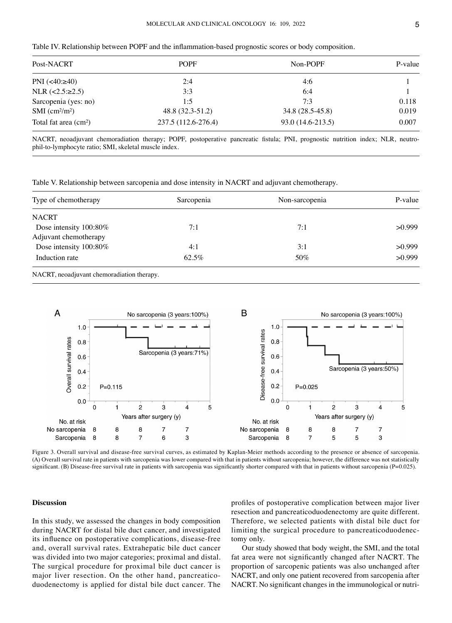|  | Table IV. Relationship between POPF and the inflammation-based prognostic scores or body composition. |  |  |  |  |  |  |  |  |  |  |
|--|-------------------------------------------------------------------------------------------------------|--|--|--|--|--|--|--|--|--|--|
|--|-------------------------------------------------------------------------------------------------------|--|--|--|--|--|--|--|--|--|--|

| Post-NACRT                               | <b>POPF</b>         | Non-POPF          | P-value |  |
|------------------------------------------|---------------------|-------------------|---------|--|
| PNI $(<40: \geq 40)$                     | 2:4                 | 4:6               |         |  |
| NLR $(<2.5: \ge 2.5)$                    | 3:3                 | 6:4               |         |  |
| Sarcopenia (yes: no)                     | 1:5                 | 7:3               | 0.118   |  |
| $SMI$ (cm <sup>2</sup> /m <sup>2</sup> ) | 48.8 (32.3-51.2)    | 34.8 (28.5-45.8)  | 0.019   |  |
| Total fat area $(cm2)$                   | 237.5 (112.6-276.4) | 93.0 (14.6-213.5) | 0.007   |  |

NACRT, neoadjuvant chemoradiation therapy; POPF, postoperative pancreatic fistula; PNI, prognostic nutrition index; NLR, neutrophil-to-lymphocyte ratio; SMI, skeletal muscle index.

Table V. Relationship between sarcopenia and dose intensity in NACRT and adjuvant chemotherapy.

| Type of chemotherapy   | Sarcopenia | Non-sarcopenia | P-value |  |
|------------------------|------------|----------------|---------|--|
| <b>NACRT</b>           |            |                |         |  |
| Dose intensity 100:80% | 7:1        | 7:1            | >0.999  |  |
| Adjuvant chemotherapy  |            |                |         |  |
| Dose intensity 100:80% | 4:1        | 3:1            | >0.999  |  |
| Induction rate         | 62.5%      | 50%            | >0.999  |  |

NACRT, neoadjuvant chemoradiation therapy.



Figure 3. Overall survival and disease-free survival curves, as estimated by Kaplan-Meier methods according to the presence or absence of sarcopenia. (A) Overall survival rate in patients with sarcopenia was lower compared with that in patients without sarcopenia; however, the difference was not statistically significant. (B) Disease-free survival rate in patients with sarcopenia was significantly shorter compared with that in patients without sarcopenia (P=0.025).

### **Discussion**

In this study, we assessed the changes in body composition during NACRT for distal bile duct cancer, and investigated its influence on postoperative complications, disease‑free and, overall survival rates. Extrahepatic bile duct cancer was divided into two major categories; proximal and distal. The surgical procedure for proximal bile duct cancer is major liver resection. On the other hand, pancreaticoduodenectomy is applied for distal bile duct cancer. The profiles of postoperative complication between major liver resection and pancreaticoduodenectomy are quite different. Therefore, we selected patients with distal bile duct for limiting the surgical procedure to pancreaticoduodenectomy only.

Our study showed that body weight, the SMI, and the total fat area were not significantly changed after NACRT. The proportion of sarcopenic patients was also unchanged after NACRT, and only one patient recovered from sarcopenia after NACRT. No significant changes in the immunological or nutri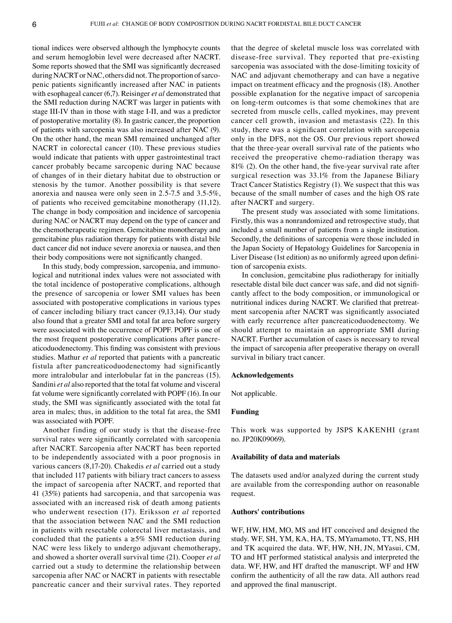tional indices were observed although the lymphocyte counts and serum hemoglobin level were decreased after NACRT. Some reports showed that the SMI was significantly decreased during NACRT or NAC, others did not. The proportion of sarcopenic patients significantly increased after NAC in patients with esophageal cancer (6,7). Reisinger *et al* demonstrated that the SMI reduction during NACRT was larger in patients with stage III‑IV than in those with stage I‑II, and was a predictor of postoperative mortality (8). In gastric cancer, the proportion of patients with sarcopenia was also increased after NAC (9). On the other hand, the mean SMI remained unchanged after NACRT in colorectal cancer (10). These previous studies would indicate that patients with upper gastrointestinal tract cancer probably became sarcopenic during NAC because of changes of in their dietary habitat due to obstruction or stenosis by the tumor. Another possibility is that severe anorexia and nausea were only seen in 2.5‑7.5 and 3.5‑5%, of patients who received gemcitabine monotherapy (11,12). The change in body composition and incidence of sarcopenia during NAC or NACRT may depend on the type of cancer and the chemotherapeutic regimen. Gemcitabine monotherapy and gemcitabine plus radiation therapy for patients with distal bile duct cancer did not induce severe anorexia or nausea, and then their body compositions were not significantly changed.

In this study, body compression, sarcopenia, and immunological and nutritional index values were not associated with the total incidence of postoperative complications, although the presence of sarcopenia or lower SMI values has been associated with postoperative complications in various types of cancer including biliary tract cancer (9,13,14). Our study also found that a greater SMI and total fat area before surgery were associated with the occurrence of POPF. POPF is one of the most frequent postoperative complications after pancreaticoduodenectomy. This finding was consistent with previous studies. Mathur *et al* reported that patients with a pancreatic fistula after pancreaticoduodenectomy had significantly more intralobular and interlobular fat in the pancreas (15). Sandini *et al* also reported that the total fat volume and visceral fat volume were significantly correlated with POPF (16). In our study, the SMI was significantly associated with the total fat area in males; thus, in addition to the total fat area, the SMI was associated with POPF.

Another finding of our study is that the disease-free survival rates were significantly correlated with sarcopenia after NACRT. Sarcopenia after NACRT has been reported to be independently associated with a poor prognosis in various cancers (8,17‑20). Chakedis *et al* carried out a study that included 117 patients with biliary tract cancers to assess the impact of sarcopenia after NACRT, and reported that 41 (35%) patients had sarcopenia, and that sarcopenia was associated with an increased risk of death among patients who underwent resection (17). Eriksson *et al* reported that the association between NAC and the SMI reduction in patients with resectable colorectal liver metastasis, and concluded that the patients a  $\geq$ 5% SMI reduction during NAC were less likely to undergo adjuvant chemotherapy, and showed a shorter overall survival time (21). Cooper *et al* carried out a study to determine the relationship between sarcopenia after NAC or NACRT in patients with resectable pancreatic cancer and their survival rates. They reported that the degree of skeletal muscle loss was correlated with disease‑free survival. They reported that pre‑existing sarcopenia was associated with the dose-limiting toxicity of NAC and adjuvant chemotherapy and can have a negative impact on treatment efficacy and the prognosis (18). Another possible explanation for the negative impact of sarcopenia on long‑term outcomes is that some chemokines that are secreted from muscle cells, called myokines, may prevent cancer cell growth, invasion and metastasis (22). In this study, there was a significant correlation with sarcopenia only in the DFS, not the OS. Our previous report showed that the three‑year overall survival rate of the patients who received the preoperative chemo-radiation therapy was 81% (2). On the other hand, the five-year survival rate after surgical resection was 33.1% from the Japanese Biliary Tract Cancer Statistics Registry (1). We suspect that this was because of the small number of cases and the high OS rate after NACRT and surgery.

The present study was associated with some limitations. Firstly, this was a nonrandomized and retrospective study, that included a small number of patients from a single institution. Secondly, the definitions of sarcopenia were those included in the Japan Society of Hepatology Guidelines for Sarcopenia in Liver Disease (1st edition) as no uniformly agreed upon definition of sarcopenia exists.

In conclusion, gemcitabine plus radiotherapy for initially resectable distal bile duct cancer was safe, and did not significantly affect to the body composition, or immunological or nutritional indices during NACRT. We clarified that pretreatment sarcopenia after NACRT was significantly associated with early recurrence after pancreaticoduodenectomy. We should attempt to maintain an appropriate SMI during NACRT. Further accumulation of cases is necessary to reveal the impact of sarcopenia after preoperative therapy on overall survival in biliary tract cancer.

#### **Acknowledgements**

Not applicable.

# **Funding**

This work was supported by JSPS KAKENHI (grant no. JP20K09069).

## **Availability of data and materials**

The datasets used and/or analyzed during the current study are available from the corresponding author on reasonable request.

## **Authors' contributions**

WF, HW, HM, MO, MS and HT conceived and designed the study. WF, SH, YM, KA, HA, TS, MYamamoto, TT, NS, HH and TK acquired the data. WF, HW, NH, JN, MYasui, CM, TO and HT performed statistical analysis and interpreted the data. WF, HW, and HT drafted the manuscript. WF and HW confirm the authenticity of all the raw data. All authors read and approved the final manuscript.